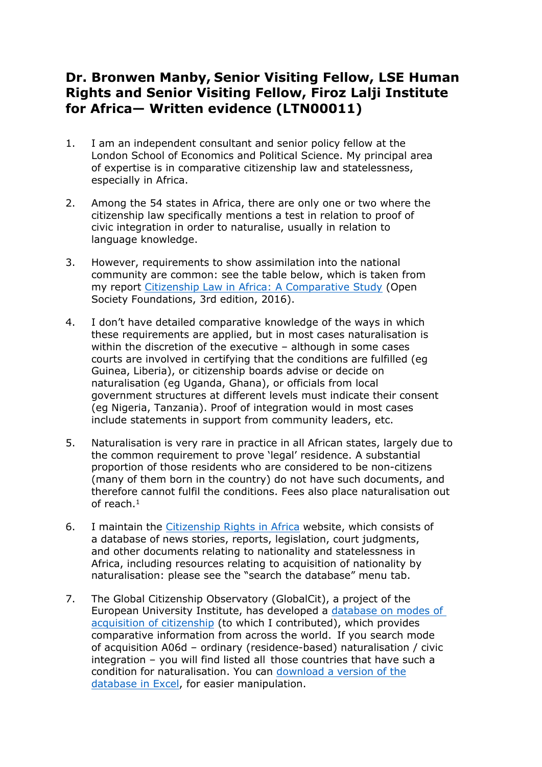## **Dr. Bronwen Manby, Senior Visiting Fellow, LSE Human Rights and Senior Visiting Fellow, Firoz Lalji Institute for Africa— Written evidence (LTN00011)**

- 1. I am an independent consultant and senior policy fellow at the London School of Economics and Political Science. My principal area of expertise is in comparative citizenship law and statelessness, especially in Africa.
- 2. Among the 54 states in Africa, there are only one or two where the citizenship law specifically mentions a test in relation to proof of civic integration in order to naturalise, usually in relation to language knowledge.
- 3. However, requirements to show assimilation into the national community are common: see the table below, which is taken from my report [Citizenship](https://www.opensocietyfoundations.org/publications/citizenship-law-in-africa-a-comparative-study) [Law](https://www.opensocietyfoundations.org/publications/citizenship-law-in-africa-a-comparative-study) [in](https://www.opensocietyfoundations.org/publications/citizenship-law-in-africa-a-comparative-study) [Africa:](https://www.opensocietyfoundations.org/publications/citizenship-law-in-africa-a-comparative-study) [A](https://www.opensocietyfoundations.org/publications/citizenship-law-in-africa-a-comparative-study) [Comparative](https://www.opensocietyfoundations.org/publications/citizenship-law-in-africa-a-comparative-study) [Study](https://www.opensocietyfoundations.org/publications/citizenship-law-in-africa-a-comparative-study) (Open Society Foundations, 3rd edition, 2016).
- 4. I don't have detailed comparative knowledge of the ways in which these requirements are applied, but in most cases naturalisation is within the discretion of the executive – although in some cases courts are involved in certifying that the conditions are fulfilled (eg Guinea, Liberia), or citizenship boards advise or decide on naturalisation (eg Uganda, Ghana), or officials from local government structures at different levels must indicate their consent (eg Nigeria, Tanzania). Proof of integration would in most cases include statements in support from community leaders, etc.
- 5. Naturalisation is very rare in practice in all African states, largely due to the common requirement to prove 'legal' residence. A substantial proportion of those residents who are considered to be non-citizens (many of them born in the country) do not have such documents, and therefore cannot fulfil the conditions. Fees also place naturalisation out of reach.<sup>1</sup>
- 6. I maintain the [Citizenship](http://citizenshiprightsafrica.org/) [Rights](http://citizenshiprightsafrica.org/) [in](http://citizenshiprightsafrica.org/) [Africa](http://citizenshiprightsafrica.org/) website, which consists of a database of news stories, reports, legislation, court judgments, and other documents relating to nationality and statelessness in Africa, including resources relating to acquisition of nationality by naturalisation: please see the "search the database" menu tab.
- 7. The Global Citizenship Observatory (GlobalCit), a project of the European University Institute, has developed a [database](https://globalcit.eu/modes-acquisition-citizenship/) [on](https://globalcit.eu/modes-acquisition-citizenship/) [modes](https://globalcit.eu/modes-acquisition-citizenship/) [of](https://globalcit.eu/modes-acquisition-citizenship/) [acquisition](https://globalcit.eu/modes-acquisition-citizenship/) [of](https://globalcit.eu/modes-acquisition-citizenship/) [citizenship](https://globalcit.eu/modes-acquisition-citizenship/) (to which I contributed), which provides comparative information from across the world. If you search mode of acquisition A06d – ordinary (residence-based) naturalisation / civic integration – you will find listed all those countr[ie](https://cadmus.eui.eu/handle/1814/73190)s that [hav](https://cadmus.eui.eu/handle/1814/73190)e such a condition for naturalisation. You can [download](https://cadmus.eui.eu/handle/1814/73190) [a](https://cadmus.eui.eu/handle/1814/73190) [version](https://cadmus.eui.eu/handle/1814/73190) [of](https://cadmus.eui.eu/handle/1814/73190) [the](https://cadmus.eui.eu/handle/1814/73190) [database](https://cadmus.eui.eu/handle/1814/73190) [in](https://cadmus.eui.eu/handle/1814/73190) [Excel,](https://cadmus.eui.eu/handle/1814/73190) for easier manipulation.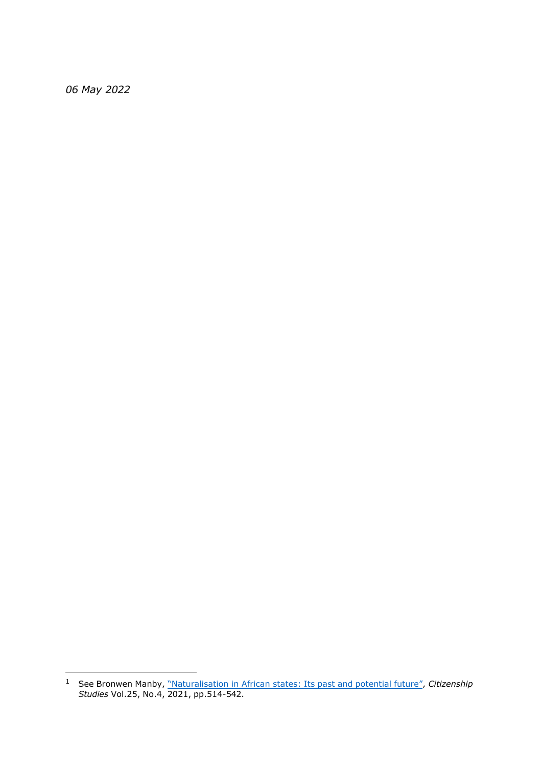*May 2022*

 See Bronwen Manby, ["Naturalisation](https://www.tandfonline.com/doi/full/10.1080/13621025.2021.1926098) [in](https://www.tandfonline.com/doi/full/10.1080/13621025.2021.1926098) [African](https://www.tandfonline.com/doi/full/10.1080/13621025.2021.1926098) [states:](https://www.tandfonline.com/doi/full/10.1080/13621025.2021.1926098) [Its](https://www.tandfonline.com/doi/full/10.1080/13621025.2021.1926098) [past](https://www.tandfonline.com/doi/full/10.1080/13621025.2021.1926098) [and](https://www.tandfonline.com/doi/full/10.1080/13621025.2021.1926098) [potential](https://www.tandfonline.com/doi/full/10.1080/13621025.2021.1926098) [future",](https://www.tandfonline.com/doi/full/10.1080/13621025.2021.1926098) *[C](https://www.tandfonline.com/doi/full/10.1080/13621025.2021.1926098)itizenship Studies* Vol.25, No.4, 2021, pp.514-542.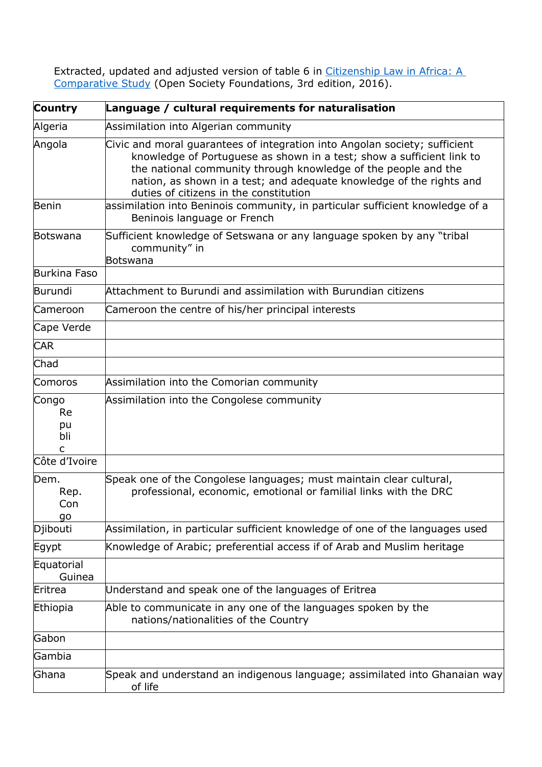Extracted, u[p](https://www.opensocietyfoundations.org/publications/citizenship-law-in-africa-a-comparative-study)dated and adjusted version of table 6 in [Citizenship](https://www.opensocietyfoundations.org/publications/citizenship-law-in-africa-a-comparative-study) [Law](https://www.opensocietyfoundations.org/publications/citizenship-law-in-africa-a-comparative-study) [in](https://www.opensocietyfoundations.org/publications/citizenship-law-in-africa-a-comparative-study) [Africa:](https://www.opensocietyfoundations.org/publications/citizenship-law-in-africa-a-comparative-study) [A](https://www.opensocietyfoundations.org/publications/citizenship-law-in-africa-a-comparative-study) [Comparative](https://www.opensocietyfoundations.org/publications/citizenship-law-in-africa-a-comparative-study) [Study](https://www.opensocietyfoundations.org/publications/citizenship-law-in-africa-a-comparative-study) (Open Society Foundations, 3rd edition, 2016).

| <b>Country</b>                | Language / cultural requirements for naturalisation                                                                                                                                                                                                                                                                                     |
|-------------------------------|-----------------------------------------------------------------------------------------------------------------------------------------------------------------------------------------------------------------------------------------------------------------------------------------------------------------------------------------|
| Algeria                       | Assimilation into Algerian community                                                                                                                                                                                                                                                                                                    |
| Angola                        | Civic and moral guarantees of integration into Angolan society; sufficient<br>knowledge of Portuguese as shown in a test; show a sufficient link to<br>the national community through knowledge of the people and the<br>nation, as shown in a test; and adequate knowledge of the rights and<br>duties of citizens in the constitution |
| Benin                         | assimilation into Beninois community, in particular sufficient knowledge of a<br>Beninois language or French                                                                                                                                                                                                                            |
| Botswana                      | Sufficient knowledge of Setswana or any language spoken by any "tribal<br>community" in<br>Botswana                                                                                                                                                                                                                                     |
| Burkina Faso                  |                                                                                                                                                                                                                                                                                                                                         |
| Burundi                       | Attachment to Burundi and assimilation with Burundian citizens                                                                                                                                                                                                                                                                          |
| Cameroon                      | Cameroon the centre of his/her principal interests                                                                                                                                                                                                                                                                                      |
| Cape Verde                    |                                                                                                                                                                                                                                                                                                                                         |
| <b>CAR</b>                    |                                                                                                                                                                                                                                                                                                                                         |
| Chad                          |                                                                                                                                                                                                                                                                                                                                         |
| Comoros                       | Assimilation into the Comorian community                                                                                                                                                                                                                                                                                                |
| Congo<br>Re<br>pu<br>bli<br>C | Assimilation into the Congolese community                                                                                                                                                                                                                                                                                               |
| Côte d'Ivoire                 |                                                                                                                                                                                                                                                                                                                                         |
| Dem.<br>Rep.<br>Con<br>go     | Speak one of the Congolese languages; must maintain clear cultural,<br>professional, economic, emotional or familial links with the DRC                                                                                                                                                                                                 |
| Djibouti                      | Assimilation, in particular sufficient knowledge of one of the languages used                                                                                                                                                                                                                                                           |
| Egypt                         | Knowledge of Arabic; preferential access if of Arab and Muslim heritage                                                                                                                                                                                                                                                                 |
| Equatorial<br>Guinea          |                                                                                                                                                                                                                                                                                                                                         |
| Eritrea                       | Understand and speak one of the languages of Eritrea                                                                                                                                                                                                                                                                                    |
| Ethiopia                      | Able to communicate in any one of the languages spoken by the<br>nations/nationalities of the Country                                                                                                                                                                                                                                   |
| Gabon                         |                                                                                                                                                                                                                                                                                                                                         |
| Gambia                        |                                                                                                                                                                                                                                                                                                                                         |
| Ghana                         | Speak and understand an indigenous language; assimilated into Ghanaian way<br>of life                                                                                                                                                                                                                                                   |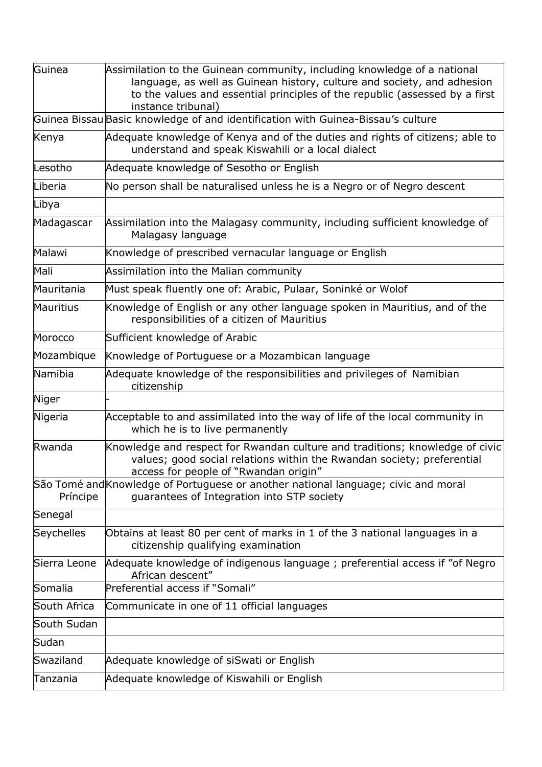| Guinea       | Assimilation to the Guinean community, including knowledge of a national<br>language, as well as Guinean history, culture and society, and adhesion<br>to the values and essential principles of the republic (assessed by a first<br>instance tribunal) |
|--------------|----------------------------------------------------------------------------------------------------------------------------------------------------------------------------------------------------------------------------------------------------------|
|              | Guinea Bissau Basic knowledge of and identification with Guinea-Bissau's culture                                                                                                                                                                         |
| Kenya        | Adequate knowledge of Kenya and of the duties and rights of citizens; able to<br>understand and speak Kiswahili or a local dialect                                                                                                                       |
| Lesotho      | Adequate knowledge of Sesotho or English                                                                                                                                                                                                                 |
| Liberia      | No person shall be naturalised unless he is a Negro or of Negro descent                                                                                                                                                                                  |
| Libya        |                                                                                                                                                                                                                                                          |
| Madagascar   | Assimilation into the Malagasy community, including sufficient knowledge of<br>Malagasy language                                                                                                                                                         |
| Malawi       | Knowledge of prescribed vernacular language or English                                                                                                                                                                                                   |
| Mali         | Assimilation into the Malian community                                                                                                                                                                                                                   |
| Mauritania   | Must speak fluently one of: Arabic, Pulaar, Soninké or Wolof                                                                                                                                                                                             |
| Mauritius    | Knowledge of English or any other language spoken in Mauritius, and of the<br>responsibilities of a citizen of Mauritius                                                                                                                                 |
| Morocco      | Sufficient knowledge of Arabic                                                                                                                                                                                                                           |
| Mozambique   | Knowledge of Portuguese or a Mozambican language                                                                                                                                                                                                         |
| Namibia      | Adequate knowledge of the responsibilities and privileges of Namibian<br>citizenship                                                                                                                                                                     |
| Niger        |                                                                                                                                                                                                                                                          |
| Nigeria      | Acceptable to and assimilated into the way of life of the local community in<br>which he is to live permanently                                                                                                                                          |
| Rwanda       | Knowledge and respect for Rwandan culture and traditions; knowledge of civic<br>values; good social relations within the Rwandan society; preferential<br>access for people of "Rwandan origin"                                                          |
| Príncipe     | São Tomé and Knowledge of Portuguese or another national language; civic and moral<br>guarantees of Integration into STP society                                                                                                                         |
| Senegal      |                                                                                                                                                                                                                                                          |
| Seychelles   | Obtains at least 80 per cent of marks in 1 of the 3 national languages in a<br>citizenship qualifying examination                                                                                                                                        |
| Sierra Leone | Adequate knowledge of indigenous language; preferential access if "of Negro<br>African descent"                                                                                                                                                          |
| Somalia      | Preferential access if "Somali"                                                                                                                                                                                                                          |
| South Africa | Communicate in one of 11 official languages                                                                                                                                                                                                              |
| South Sudan  |                                                                                                                                                                                                                                                          |
| Sudan        |                                                                                                                                                                                                                                                          |
| Swaziland    | Adequate knowledge of siSwati or English                                                                                                                                                                                                                 |
| Tanzania     | Adequate knowledge of Kiswahili or English                                                                                                                                                                                                               |